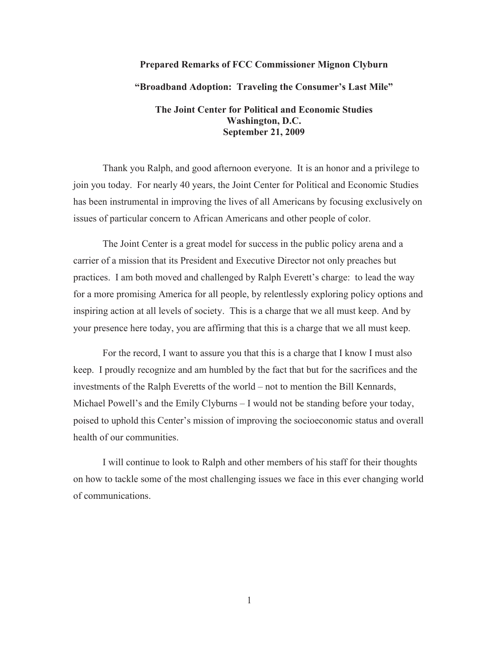## **Prepared Remarks of FCC Commissioner Mignon Clyburn "Broadband Adoption: Traveling the Consumer's Last Mile" The Joint Center for Political and Economic Studies Washington, D.C. September 21, 2009**

Thank you Ralph, and good afternoon everyone. It is an honor and a privilege to join you today. For nearly 40 years, the Joint Center for Political and Economic Studies has been instrumental in improving the lives of all Americans by focusing exclusively on issues of particular concern to African Americans and other people of color.

The Joint Center is a great model for success in the public policy arena and a carrier of a mission that its President and Executive Director not only preaches but practices. I am both moved and challenged by Ralph Everett's charge: to lead the way for a more promising America for all people, by relentlessly exploring policy options and inspiring action at all levels of society. This is a charge that we all must keep. And by your presence here today, you are affirming that this is a charge that we all must keep.

For the record, I want to assure you that this is a charge that I know I must also keep. I proudly recognize and am humbled by the fact that but for the sacrifices and the investments of the Ralph Everetts of the world – not to mention the Bill Kennards, Michael Powell's and the Emily Clyburns – I would not be standing before your today, poised to uphold this Center's mission of improving the socioeconomic status and overall health of our communities.

I will continue to look to Ralph and other members of his staff for their thoughts on how to tackle some of the most challenging issues we face in this ever changing world of communications.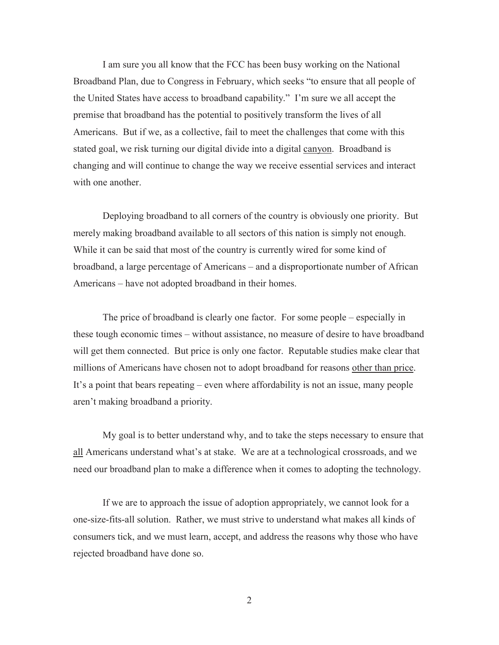I am sure you all know that the FCC has been busy working on the National Broadband Plan, due to Congress in February, which seeks "to ensure that all people of the United States have access to broadband capability." I'm sure we all accept the premise that broadband has the potential to positively transform the lives of all Americans. But if we, as a collective, fail to meet the challenges that come with this stated goal, we risk turning our digital divide into a digital canyon. Broadband is changing and will continue to change the way we receive essential services and interact with one another.

Deploying broadband to all corners of the country is obviously one priority. But merely making broadband available to all sectors of this nation is simply not enough. While it can be said that most of the country is currently wired for some kind of broadband, a large percentage of Americans – and a disproportionate number of African Americans – have not adopted broadband in their homes.

The price of broadband is clearly one factor. For some people – especially in these tough economic times – without assistance, no measure of desire to have broadband will get them connected. But price is only one factor. Reputable studies make clear that millions of Americans have chosen not to adopt broadband for reasons other than price. It's a point that bears repeating – even where affordability is not an issue, many people aren't making broadband a priority.

My goal is to better understand why, and to take the steps necessary to ensure that all Americans understand what's at stake. We are at a technological crossroads, and we need our broadband plan to make a difference when it comes to adopting the technology.

If we are to approach the issue of adoption appropriately, we cannot look for a one-size-fits-all solution. Rather, we must strive to understand what makes all kinds of consumers tick, and we must learn, accept, and address the reasons why those who have rejected broadband have done so.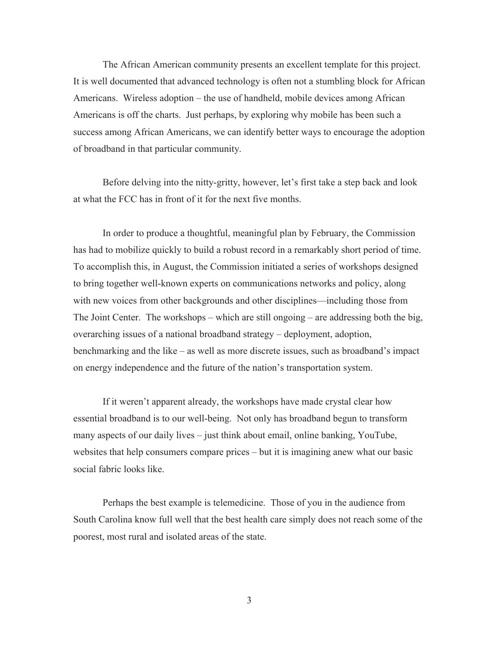The African American community presents an excellent template for this project. It is well documented that advanced technology is often not a stumbling block for African Americans. Wireless adoption – the use of handheld, mobile devices among African Americans is off the charts. Just perhaps, by exploring why mobile has been such a success among African Americans, we can identify better ways to encourage the adoption of broadband in that particular community.

Before delving into the nitty-gritty, however, let's first take a step back and look at what the FCC has in front of it for the next five months.

In order to produce a thoughtful, meaningful plan by February, the Commission has had to mobilize quickly to build a robust record in a remarkably short period of time. To accomplish this, in August, the Commission initiated a series of workshops designed to bring together well-known experts on communications networks and policy, along with new voices from other backgrounds and other disciplines—including those from The Joint Center. The workshops – which are still ongoing – are addressing both the big, overarching issues of a national broadband strategy – deployment, adoption, benchmarking and the like – as well as more discrete issues, such as broadband's impact on energy independence and the future of the nation's transportation system.

If it weren't apparent already, the workshops have made crystal clear how essential broadband is to our well-being. Not only has broadband begun to transform many aspects of our daily lives – just think about email, online banking, YouTube, websites that help consumers compare prices – but it is imagining anew what our basic social fabric looks like.

Perhaps the best example is telemedicine. Those of you in the audience from South Carolina know full well that the best health care simply does not reach some of the poorest, most rural and isolated areas of the state.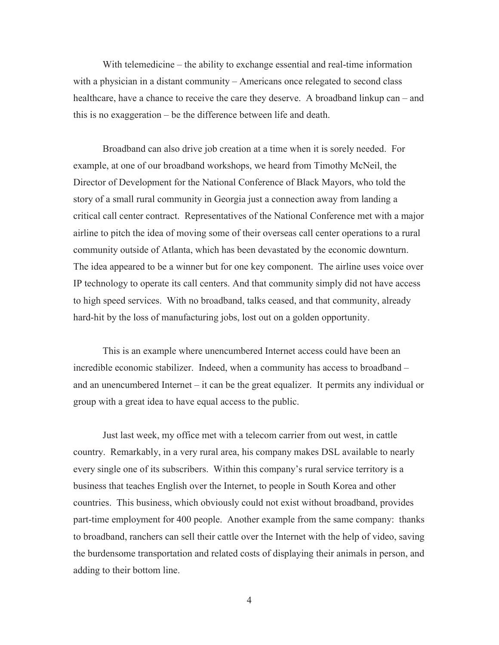With telemedicine – the ability to exchange essential and real-time information with a physician in a distant community – Americans once relegated to second class healthcare, have a chance to receive the care they deserve. A broadband linkup can – and this is no exaggeration – be the difference between life and death.

Broadband can also drive job creation at a time when it is sorely needed. For example, at one of our broadband workshops, we heard from Timothy McNeil, the Director of Development for the National Conference of Black Mayors, who told the story of a small rural community in Georgia just a connection away from landing a critical call center contract. Representatives of the National Conference met with a major airline to pitch the idea of moving some of their overseas call center operations to a rural community outside of Atlanta, which has been devastated by the economic downturn. The idea appeared to be a winner but for one key component. The airline uses voice over IP technology to operate its call centers. And that community simply did not have access to high speed services. With no broadband, talks ceased, and that community, already hard-hit by the loss of manufacturing jobs, lost out on a golden opportunity.

This is an example where unencumbered Internet access could have been an incredible economic stabilizer. Indeed, when a community has access to broadband – and an unencumbered Internet – it can be the great equalizer. It permits any individual or group with a great idea to have equal access to the public.

Just last week, my office met with a telecom carrier from out west, in cattle country. Remarkably, in a very rural area, his company makes DSL available to nearly every single one of its subscribers. Within this company's rural service territory is a business that teaches English over the Internet, to people in South Korea and other countries. This business, which obviously could not exist without broadband, provides part-time employment for 400 people. Another example from the same company: thanks to broadband, ranchers can sell their cattle over the Internet with the help of video, saving the burdensome transportation and related costs of displaying their animals in person, and adding to their bottom line.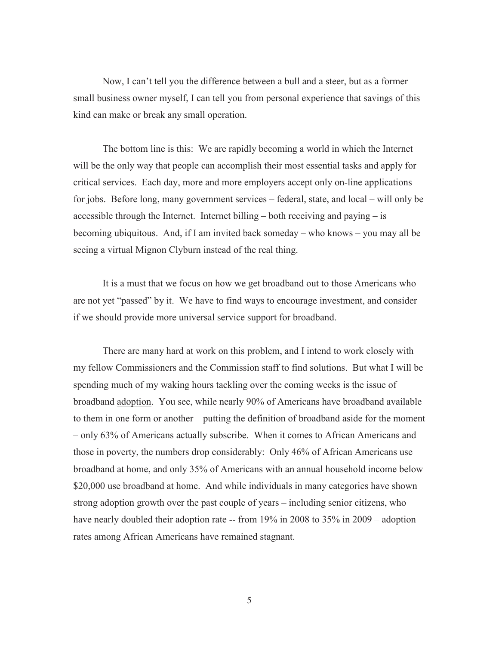Now, I can't tell you the difference between a bull and a steer, but as a former small business owner myself, I can tell you from personal experience that savings of this kind can make or break any small operation.

The bottom line is this: We are rapidly becoming a world in which the Internet will be the only way that people can accomplish their most essential tasks and apply for critical services. Each day, more and more employers accept only on-line applications for jobs. Before long, many government services – federal, state, and local – will only be accessible through the Internet. Internet billing  $-$  both receiving and paying  $-$  is becoming ubiquitous. And, if I am invited back someday – who knows – you may all be seeing a virtual Mignon Clyburn instead of the real thing.

It is a must that we focus on how we get broadband out to those Americans who are not yet "passed" by it. We have to find ways to encourage investment, and consider if we should provide more universal service support for broadband.

There are many hard at work on this problem, and I intend to work closely with my fellow Commissioners and the Commission staff to find solutions. But what I will be spending much of my waking hours tackling over the coming weeks is the issue of broadband adoption. You see, while nearly 90% of Americans have broadband available to them in one form or another – putting the definition of broadband aside for the moment – only 63% of Americans actually subscribe. When it comes to African Americans and those in poverty, the numbers drop considerably: Only 46% of African Americans use broadband at home, and only 35% of Americans with an annual household income below \$20,000 use broadband at home. And while individuals in many categories have shown strong adoption growth over the past couple of years – including senior citizens, who have nearly doubled their adoption rate -- from 19% in 2008 to 35% in 2009 – adoption rates among African Americans have remained stagnant.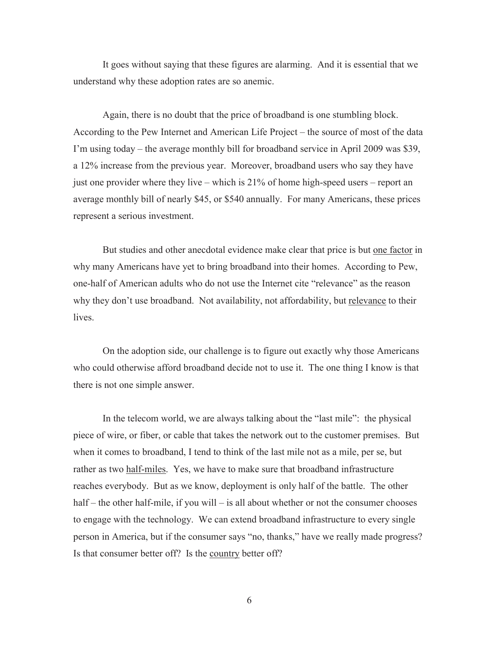It goes without saying that these figures are alarming. And it is essential that we understand why these adoption rates are so anemic.

Again, there is no doubt that the price of broadband is one stumbling block. According to the Pew Internet and American Life Project – the source of most of the data I'm using today – the average monthly bill for broadband service in April 2009 was \$39, a 12% increase from the previous year. Moreover, broadband users who say they have just one provider where they live – which is 21% of home high-speed users – report an average monthly bill of nearly \$45, or \$540 annually. For many Americans, these prices represent a serious investment.

But studies and other anecdotal evidence make clear that price is but one factor in why many Americans have yet to bring broadband into their homes. According to Pew, one-half of American adults who do not use the Internet cite "relevance" as the reason why they don't use broadband. Not availability, not affordability, but relevance to their lives.

On the adoption side, our challenge is to figure out exactly why those Americans who could otherwise afford broadband decide not to use it. The one thing I know is that there is not one simple answer.

In the telecom world, we are always talking about the "last mile": the physical piece of wire, or fiber, or cable that takes the network out to the customer premises. But when it comes to broadband, I tend to think of the last mile not as a mile, per se, but rather as two half-miles. Yes, we have to make sure that broadband infrastructure reaches everybody. But as we know, deployment is only half of the battle. The other half – the other half-mile, if you will – is all about whether or not the consumer chooses to engage with the technology. We can extend broadband infrastructure to every single person in America, but if the consumer says "no, thanks," have we really made progress? Is that consumer better off? Is the country better off?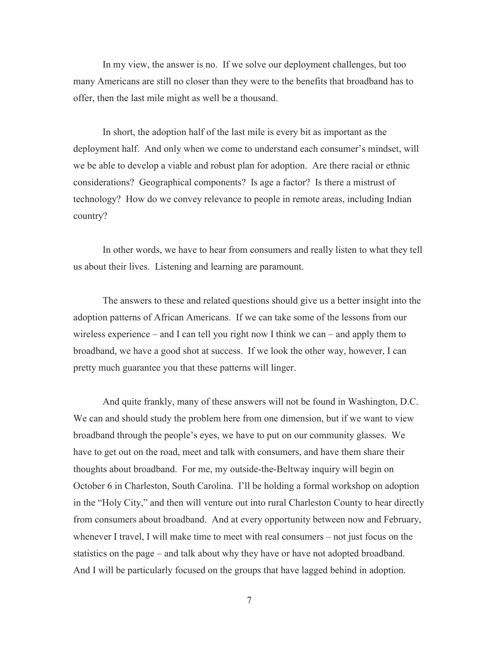In my view, the answer is no. If we solve our deployment challenges, but too many Americans are still no closer than they were to the benefits that broadband has to offer, then the last mile might as well be a thousand.

In short, the adoption half of the last mile is every bit as important as the deployment half. And only when we come to understand each consumer's mindset, will we be able to develop a viable and robust plan for adoption. Are there racial or ethnic considerations? Geographical components? Is age a factor? Is there a mistrust of technology? How do we convey relevance to people in remote areas, including Indian country?

In other words, we have to hear from consumers and really listen to what they tell us about their lives. Listening and learning are paramount.

The answers to these and related questions should give us a better insight into the adoption patterns of African Americans. If we can take some of the lessons from our wireless experience – and I can tell you right now I think we can – and apply them to broadband, we have a good shot at success. If we look the other way, however, I can pretty much guarantee you that these patterns will linger.

And quite frankly, many of these answers will not be found in Washington, D.C. We can and should study the problem here from one dimension, but if we want to view broadband through the people's eyes, we have to put on our community glasses. We have to get out on the road, meet and talk with consumers, and have them share their thoughts about broadband. For me, my outside-the-Beltway inquiry will begin on October 6 in Charleston, South Carolina. I'll be holding a formal workshop on adoption in the "Holy City," and then will venture out into rural Charleston County to hear directly from consumers about broadband. And at every opportunity between now and February, whenever I travel, I will make time to meet with real consumers – not just focus on the statistics on the page – and talk about why they have or have not adopted broadband. And I will be particularly focused on the groups that have lagged behind in adoption.